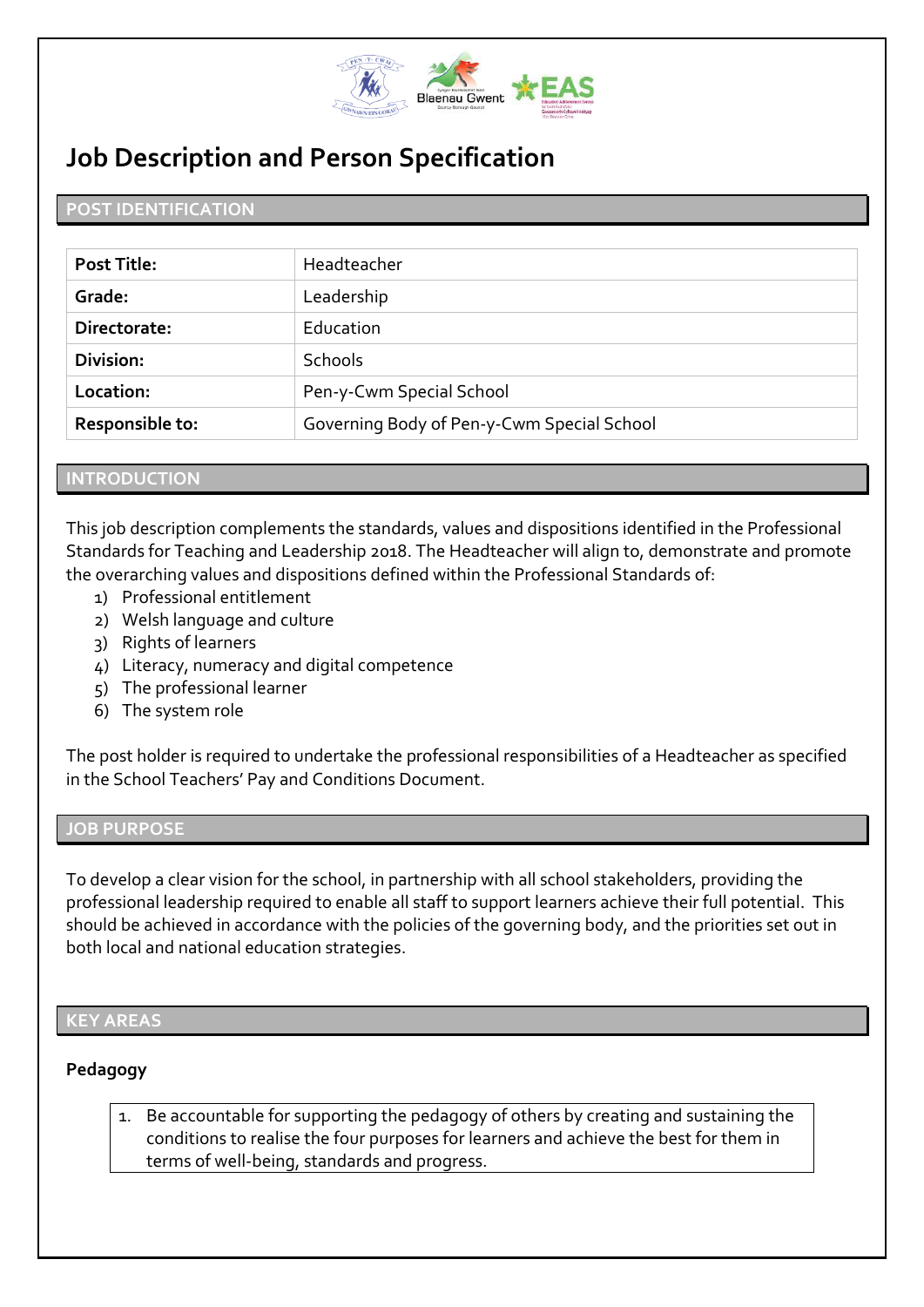

# **Job Description and Person Specification**

### **POST IDENTIFICATION**

| Post Title:            | Headteacher                                |
|------------------------|--------------------------------------------|
| Grade:                 | Leadership                                 |
| Directorate:           | Education                                  |
| Division:              | <b>Schools</b>                             |
| Location:              | Pen-y-Cwm Special School                   |
| <b>Responsible to:</b> | Governing Body of Pen-y-Cwm Special School |

#### **INTRODUCTION**

This job description complements the standards, values and dispositions identified in the Professional Standards for Teaching and Leadership 2018. The Headteacher will align to, demonstrate and promote the overarching values and dispositions defined within the Professional Standards of:

- 1) Professional entitlement
- 2) Welsh language and culture
- 3) Rights of learners
- 4) Literacy, numeracy and digital competence
- 5) The professional learner
- 6) The system role

The post holder is required to undertake the professional responsibilities of a Headteacher as specified in the School Teachers' Pay and Conditions Document.

#### **JOB PURPOSE**

To develop a clear vision for the school, in partnership with all school stakeholders, providing the professional leadership required to enable all staff to support learners achieve their full potential. This should be achieved in accordance with the policies of the governing body, and the priorities set out in both local and national education strategies.

#### **KEY AREAS**

### **Pedagogy**

 $\overline{a}$ 

1. Be accountable for supporting the pedagogy of others by creating and sustaining the conditions to realise the four purposes for learners and achieve the best for them in terms of well-being, standards and progress.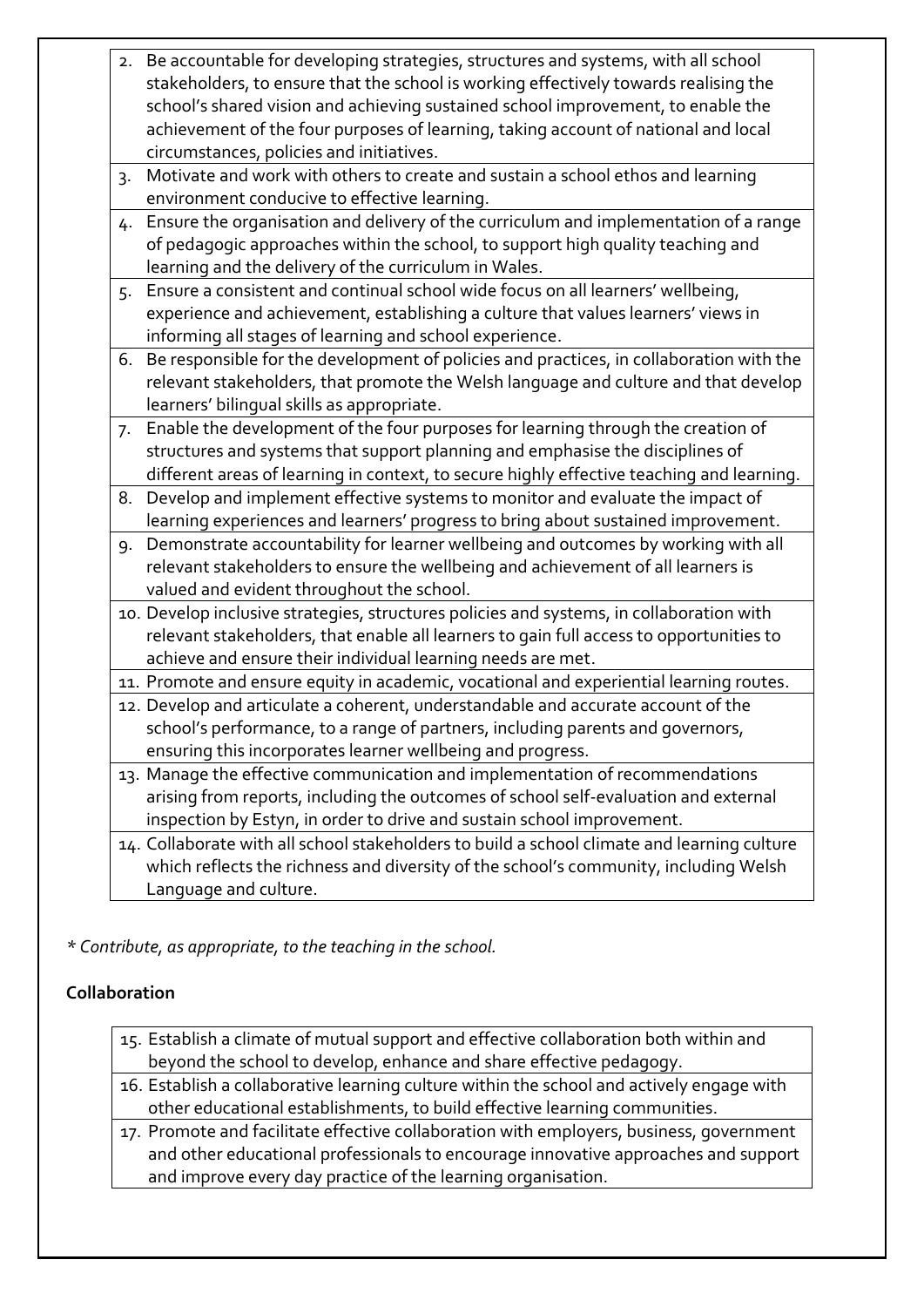|                  | 2. Be accountable for developing strategies, structures and systems, with all school        |
|------------------|---------------------------------------------------------------------------------------------|
|                  | stakeholders, to ensure that the school is working effectively towards realising the        |
|                  | school's shared vision and achieving sustained school improvement, to enable the            |
|                  | achievement of the four purposes of learning, taking account of national and local          |
|                  | circumstances, policies and initiatives.                                                    |
| $\overline{3}$ . | Motivate and work with others to create and sustain a school ethos and learning             |
|                  | environment conducive to effective learning.                                                |
| 4.               | Ensure the organisation and delivery of the curriculum and implementation of a range        |
|                  | of pedagogic approaches within the school, to support high quality teaching and             |
|                  | learning and the delivery of the curriculum in Wales.                                       |
| 5.               | Ensure a consistent and continual school wide focus on all learners' wellbeing,             |
|                  | experience and achievement, establishing a culture that values learners' views in           |
|                  | informing all stages of learning and school experience.                                     |
| 6.               | Be responsible for the development of policies and practices, in collaboration with the     |
|                  | relevant stakeholders, that promote the Welsh language and culture and that develop         |
|                  | learners' bilingual skills as appropriate.                                                  |
| 7.               | Enable the development of the four purposes for learning through the creation of            |
|                  | structures and systems that support planning and emphasise the disciplines of               |
|                  | different areas of learning in context, to secure highly effective teaching and learning.   |
| 8.               | Develop and implement effective systems to monitor and evaluate the impact of               |
|                  | learning experiences and learners' progress to bring about sustained improvement.           |
| 9.               | Demonstrate accountability for learner wellbeing and outcomes by working with all           |
|                  | relevant stakeholders to ensure the wellbeing and achievement of all learners is            |
|                  | valued and evident throughout the school.                                                   |
|                  | 10. Develop inclusive strategies, structures policies and systems, in collaboration with    |
|                  | relevant stakeholders, that enable all learners to gain full access to opportunities to     |
|                  | achieve and ensure their individual learning needs are met.                                 |
|                  | 11. Promote and ensure equity in academic, vocational and experiential learning routes.     |
|                  | 12. Develop and articulate a coherent, understandable and accurate account of the           |
|                  | school's performance, to a range of partners, including parents and governors,              |
|                  | ensuring this incorporates learner wellbeing and progress.                                  |
|                  | 13. Manage the effective communication and implementation of recommendations                |
|                  | arising from reports, including the outcomes of school self-evaluation and external         |
|                  | inspection by Estyn, in order to drive and sustain school improvement.                      |
|                  | 14. Collaborate with all school stakeholders to build a school climate and learning culture |
|                  |                                                                                             |

which reflects the richness and diversity of the school's community, including Welsh Language and culture.

*\* Contribute, as appropriate, to the teaching in the school.*

### **Collaboration**

- 15. Establish a climate of mutual support and effective collaboration both within and beyond the school to develop, enhance and share effective pedagogy.
- 16. Establish a collaborative learning culture within the school and actively engage with other educational establishments, to build effective learning communities.
- 17. Promote and facilitate effective collaboration with employers, business, government and other educational professionals to encourage innovative approaches and support and improve every day practice of the learning organisation.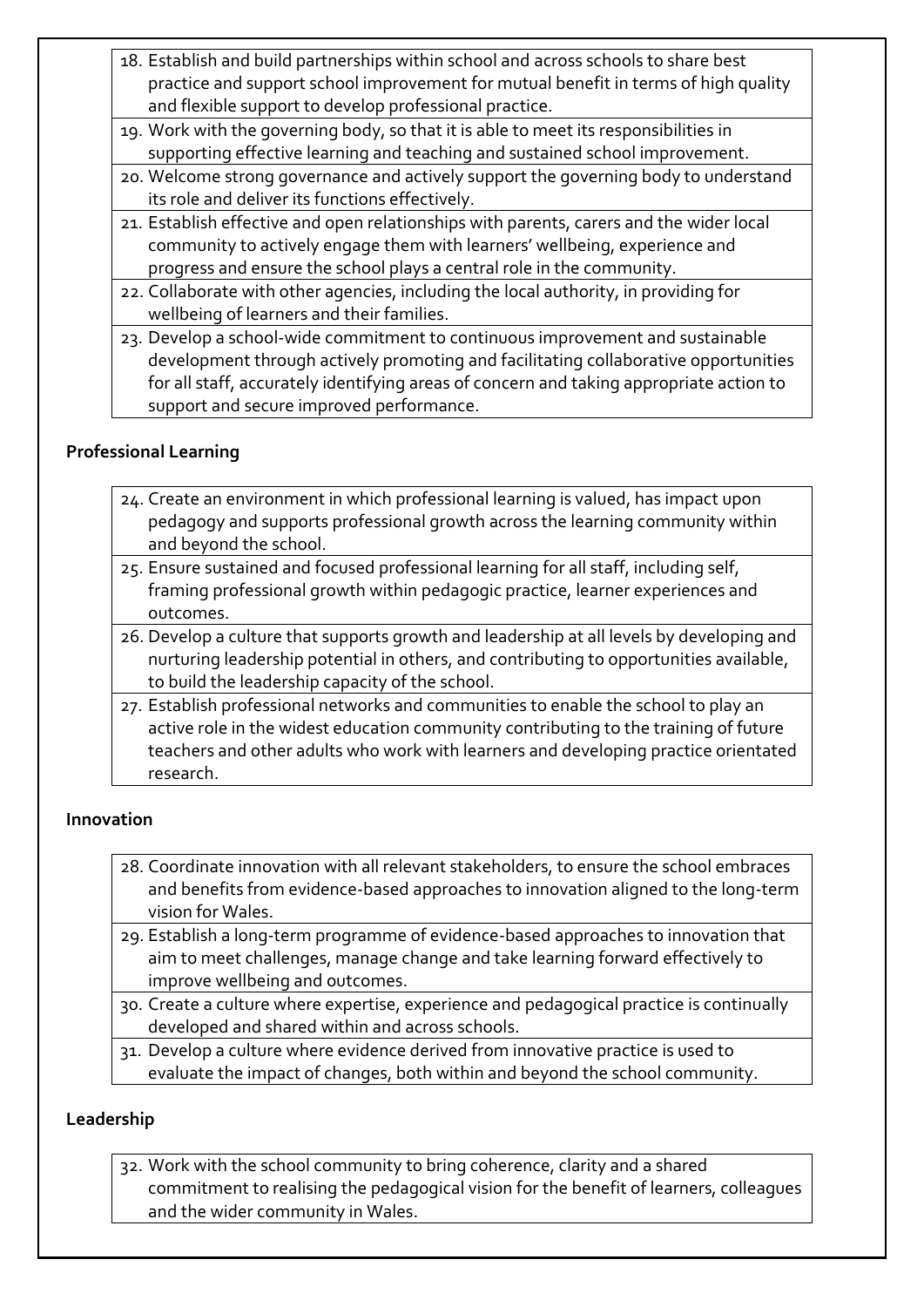- 18. Establish and build partnerships within school and across schools to share best practice and support school improvement for mutual benefit in terms of high quality and flexible support to develop professional practice.
- 19. Work with the governing body, so that it is able to meet its responsibilities in supporting effective learning and teaching and sustained school improvement.
- 20. Welcome strong governance and actively support the governing body to understand its role and deliver its functions effectively.
- 21. Establish effective and open relationships with parents, carers and the wider local community to actively engage them with learners' wellbeing, experience and progress and ensure the school plays a central role in the community.
- 22. Collaborate with other agencies, including the local authority, in providing for wellbeing of learners and their families.
- 23. Develop a school-wide commitment to continuous improvement and sustainable development through actively promoting and facilitating collaborative opportunities for all staff, accurately identifying areas of concern and taking appropriate action to support and secure improved performance.

# **Professional Learning**

- 24. Create an environment in which professional learning is valued, has impact upon pedagogy and supports professional growth across the learning community within and beyond the school.
- 25. Ensure sustained and focused professional learning for all staff, including self, framing professional growth within pedagogic practice, learner experiences and outcomes.
- 26. Develop a culture that supports growth and leadership at all levels by developing and nurturing leadership potential in others, and contributing to opportunities available, to build the leadership capacity of the school.
- 27. Establish professional networks and communities to enable the school to play an active role in the widest education community contributing to the training of future teachers and other adults who work with learners and developing practice orientated research.

# **Innovation**

- 28. Coordinate innovation with all relevant stakeholders, to ensure the school embraces and benefits from evidence-based approaches to innovation aligned to the long-term vision for Wales.
- 29. Establish a long-term programme of evidence-based approaches to innovation that aim to meet challenges, manage change and take learning forward effectively to improve wellbeing and outcomes.
- 30. Create a culture where expertise, experience and pedagogical practice is continually developed and shared within and across schools.
- 31. Develop a culture where evidence derived from innovative practice is used to evaluate the impact of changes, both within and beyond the school community.

# **Leadership**

32. Work with the school community to bring coherence, clarity and a shared commitment to realising the pedagogical vision for the benefit of learners, colleagues and the wider community in Wales.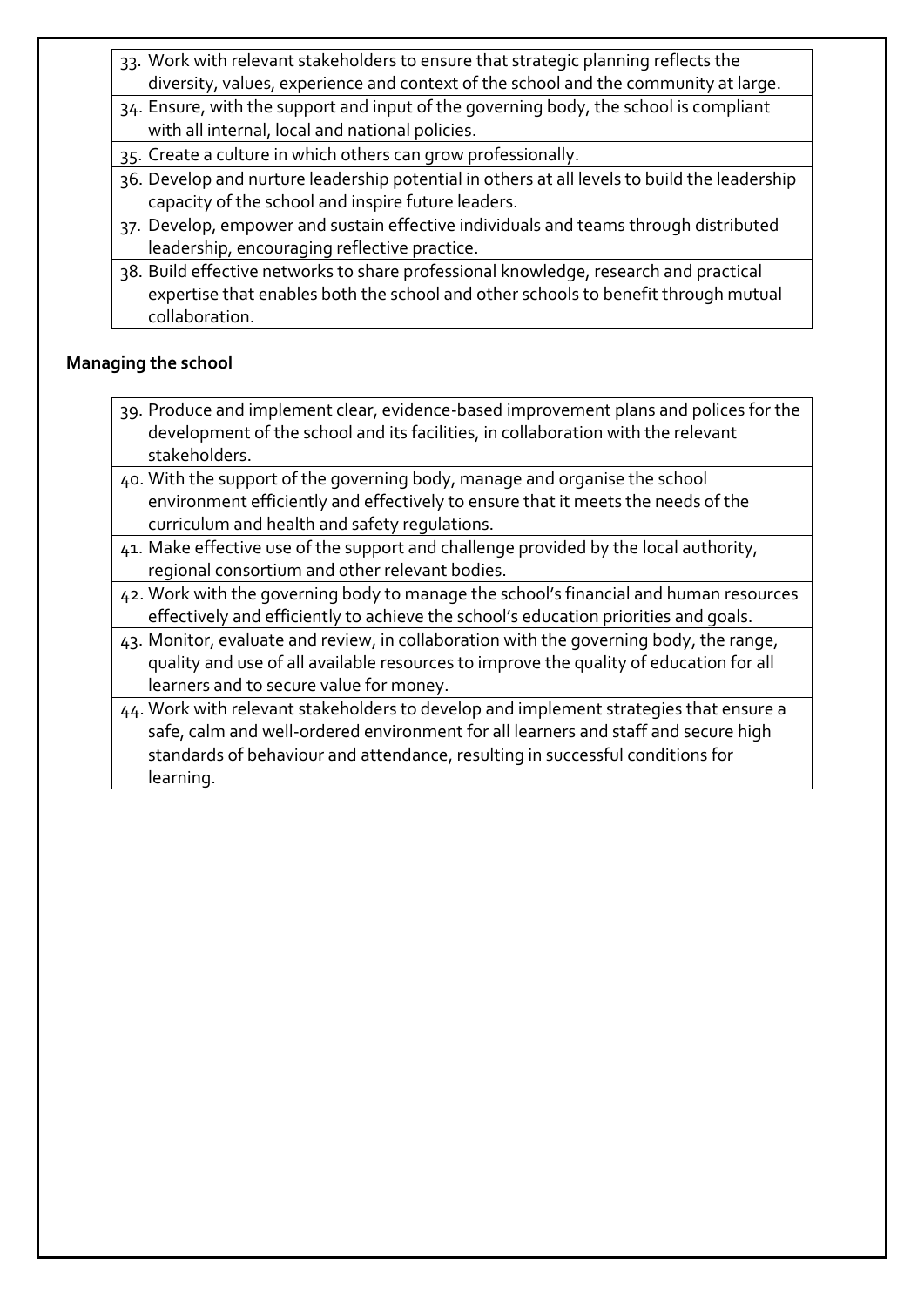- 33. Work with relevant stakeholders to ensure that strategic planning reflects the diversity, values, experience and context of the school and the community at large.
- 34. Ensure, with the support and input of the governing body, the school is compliant with all internal, local and national policies.
- 35. Create a culture in which others can grow professionally.
- 36. Develop and nurture leadership potential in others at all levels to build the leadership capacity of the school and inspire future leaders.
- 37. Develop, empower and sustain effective individuals and teams through distributed leadership, encouraging reflective practice.
- 38. Build effective networks to share professional knowledge, research and practical expertise that enables both the school and other schools to benefit through mutual collaboration.

### **Managing the school**

- 39. Produce and implement clear, evidence-based improvement plans and polices for the development of the school and its facilities, in collaboration with the relevant stakeholders.
- 40. With the support of the governing body, manage and organise the school environment efficiently and effectively to ensure that it meets the needs of the curriculum and health and safety regulations.
- 41. Make effective use of the support and challenge provided by the local authority, regional consortium and other relevant bodies.
- 42. Work with the governing body to manage the school's financial and human resources effectively and efficiently to achieve the school's education priorities and goals.
- 43. Monitor, evaluate and review, in collaboration with the governing body, the range, quality and use of all available resources to improve the quality of education for all learners and to secure value for money.
- 44. Work with relevant stakeholders to develop and implement strategies that ensure a safe, calm and well-ordered environment for all learners and staff and secure high standards of behaviour and attendance, resulting in successful conditions for learning.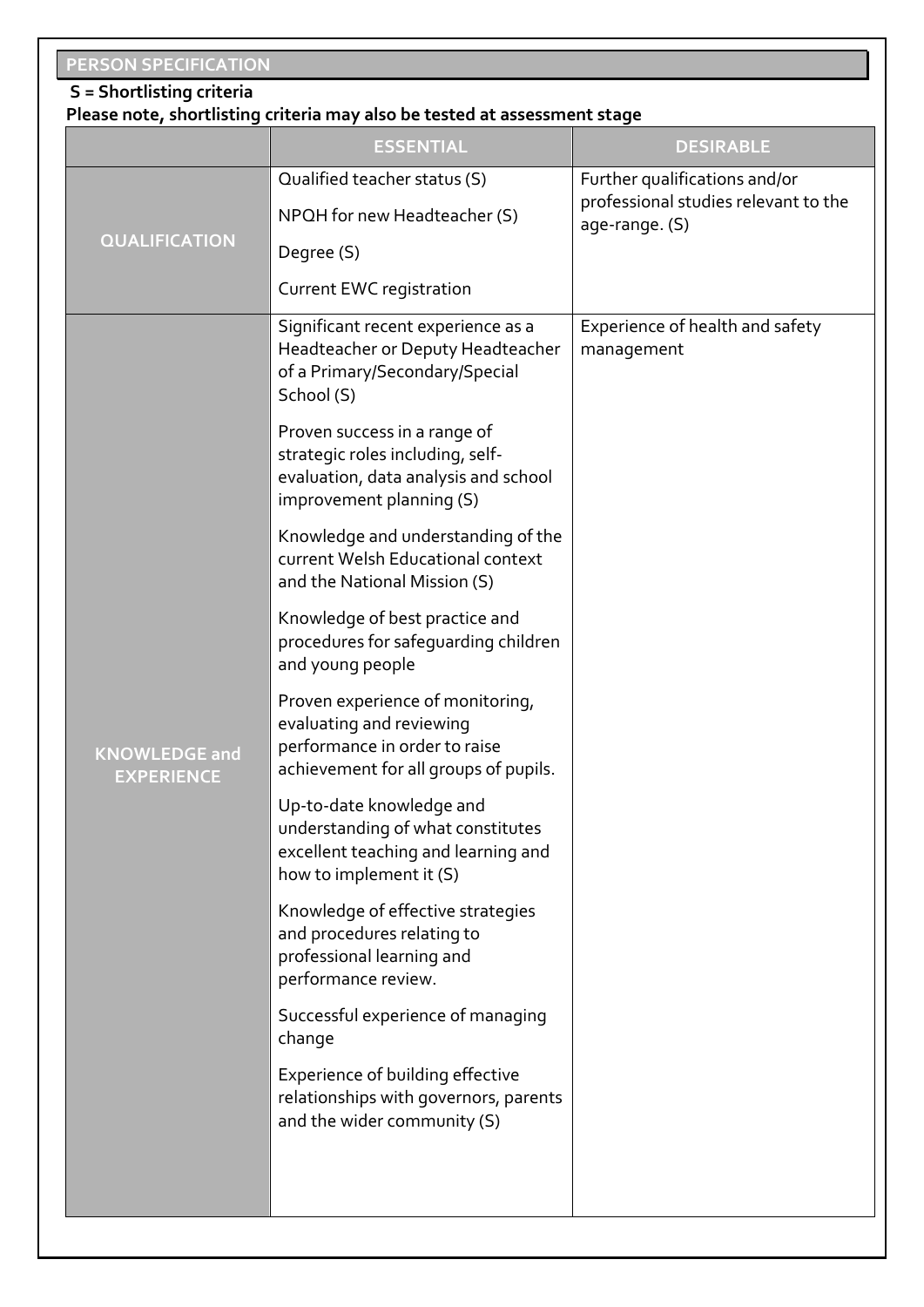# **PERSON SPECIFICATION**

### **S = Shortlisting criteria**

### **Please note, shortlisting criteria may also be tested at assessment stage**

|                                           | <b>ESSENTIAL</b>                                                                                                                                        | <b>DESIRABLE</b>                                       |  |  |
|-------------------------------------------|---------------------------------------------------------------------------------------------------------------------------------------------------------|--------------------------------------------------------|--|--|
|                                           | Qualified teacher status (S)                                                                                                                            | Further qualifications and/or                          |  |  |
|                                           | NPQH for new Headteacher (S)                                                                                                                            | professional studies relevant to the<br>age-range. (S) |  |  |
| <b>QUALIFICATION</b>                      | Degree (S)                                                                                                                                              |                                                        |  |  |
|                                           | Current EWC registration                                                                                                                                |                                                        |  |  |
|                                           | Significant recent experience as a<br>Headteacher or Deputy Headteacher<br>of a Primary/Secondary/Special<br>School (S)<br>Proven success in a range of | Experience of health and safety<br>management          |  |  |
|                                           | strategic roles including, self-<br>evaluation, data analysis and school<br>improvement planning (S)                                                    |                                                        |  |  |
|                                           | Knowledge and understanding of the<br>current Welsh Educational context<br>and the National Mission (S)                                                 |                                                        |  |  |
|                                           | Knowledge of best practice and<br>procedures for safeguarding children<br>and young people                                                              |                                                        |  |  |
| <b>KNOWLEDGE and</b><br><b>EXPERIENCE</b> | Proven experience of monitoring,<br>evaluating and reviewing<br>performance in order to raise<br>achievement for all groups of pupils.                  |                                                        |  |  |
|                                           | Up-to-date knowledge and<br>understanding of what constitutes<br>excellent teaching and learning and<br>how to implement it (S)                         |                                                        |  |  |
|                                           | Knowledge of effective strategies<br>and procedures relating to<br>professional learning and<br>performance review.                                     |                                                        |  |  |
|                                           | Successful experience of managing<br>change                                                                                                             |                                                        |  |  |
|                                           | Experience of building effective<br>relationships with governors, parents<br>and the wider community (S)                                                |                                                        |  |  |
|                                           |                                                                                                                                                         |                                                        |  |  |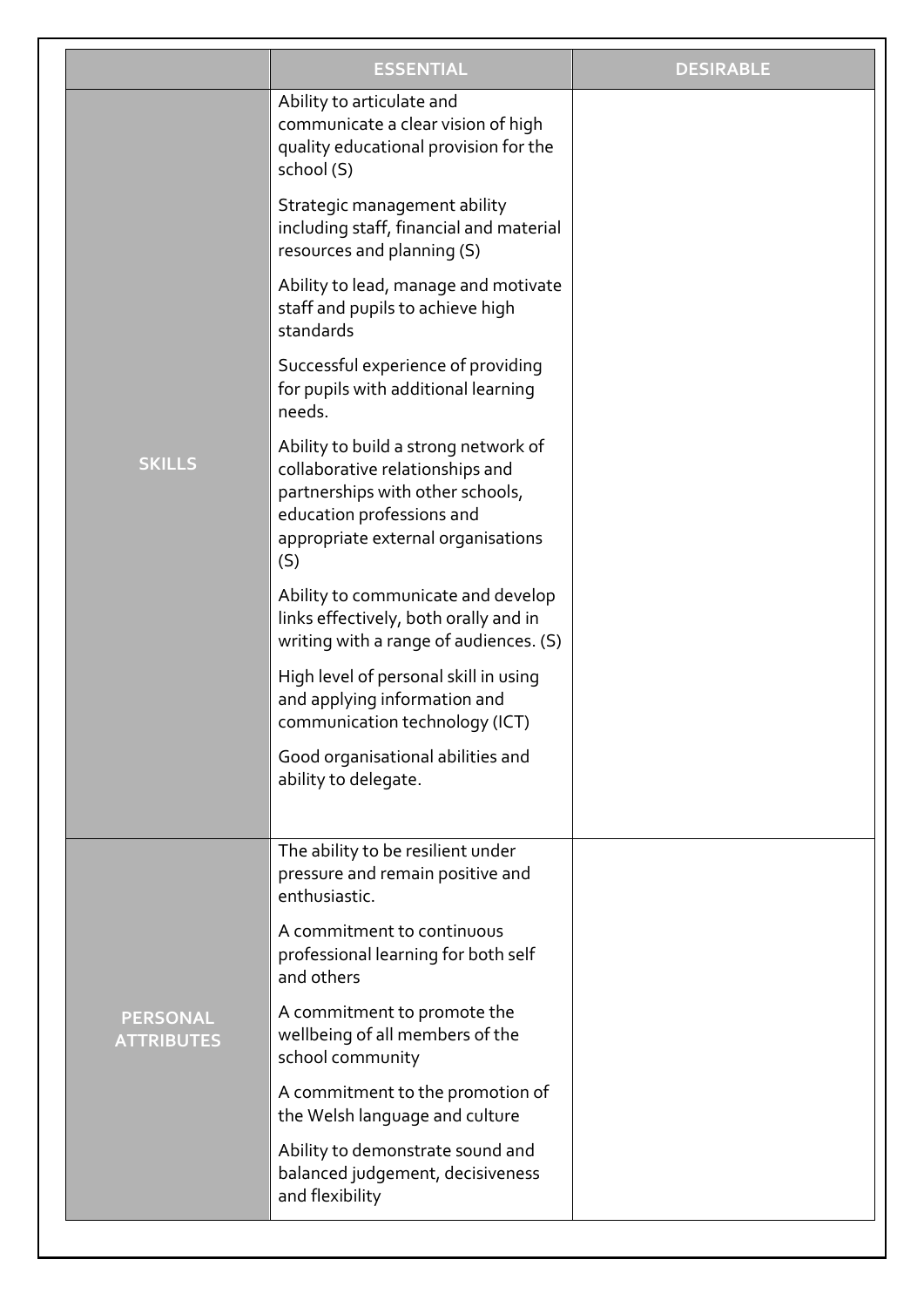|                                      | <b>ESSENTIAL</b>                                                                                                                                                                      | <b>DESIRABLE</b> |
|--------------------------------------|---------------------------------------------------------------------------------------------------------------------------------------------------------------------------------------|------------------|
|                                      | Ability to articulate and<br>communicate a clear vision of high<br>quality educational provision for the<br>school (S)                                                                |                  |
|                                      | Strategic management ability<br>including staff, financial and material<br>resources and planning (S)                                                                                 |                  |
|                                      | Ability to lead, manage and motivate<br>staff and pupils to achieve high<br>standards                                                                                                 |                  |
|                                      | Successful experience of providing<br>for pupils with additional learning<br>needs.                                                                                                   |                  |
| <b>SKILLS</b>                        | Ability to build a strong network of<br>collaborative relationships and<br>partnerships with other schools,<br>education professions and<br>appropriate external organisations<br>(S) |                  |
|                                      | Ability to communicate and develop<br>links effectively, both orally and in<br>writing with a range of audiences. (S)                                                                 |                  |
|                                      | High level of personal skill in using<br>and applying information and<br>communication technology (ICT)                                                                               |                  |
|                                      | Good organisational abilities and<br>ability to delegate.                                                                                                                             |                  |
|                                      | The ability to be resilient under<br>pressure and remain positive and<br>enthusiastic.                                                                                                |                  |
|                                      | A commitment to continuous<br>professional learning for both self<br>and others                                                                                                       |                  |
| <b>PERSONAL</b><br><b>ATTRIBUTES</b> | A commitment to promote the<br>wellbeing of all members of the<br>school community                                                                                                    |                  |
|                                      | A commitment to the promotion of<br>the Welsh language and culture                                                                                                                    |                  |
|                                      | Ability to demonstrate sound and<br>balanced judgement, decisiveness<br>and flexibility                                                                                               |                  |